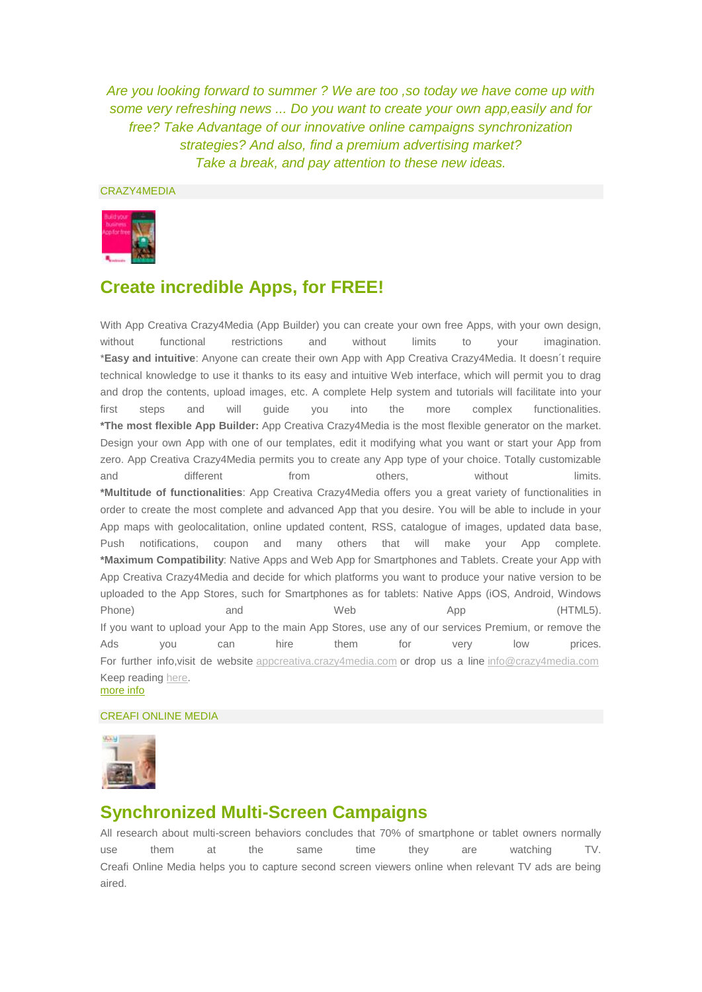*Are you looking forward to summer ? We are too ,so today we have come up with some very refreshing news ... Do you want to create your own app,easily and for free? Take Advantage of our innovative online campaigns synchronization strategies? And also, find a premium advertising market? Take a break, and pay attention to these new ideas.*

### CRAZY4MEDIA



# **Create incredible Apps, for FREE!**

With App Creativa Crazy4Media (App Builder) you can create your own free Apps, with your own design, without functional restrictions and without limits to your imagination. \***Easy and intuitive**: Anyone can create their own App with App Creativa Crazy4Media. It doesn´t require technical knowledge to use it thanks to its easy and intuitive Web interface, which will permit you to drag and drop the contents, upload images, etc. A complete Help system and tutorials will facilitate into your first steps and will guide you into the more complex functionalities. **\*The most flexible App Builder:** App Creativa Crazy4Media is the most flexible generator on the market. Design your own App with one of our templates, edit it modifying what you want or start your App from zero. App Creativa Crazy4Media permits you to create any App type of your choice. Totally customizable and different from others, without limits. **\*Multitude of functionalities**: App Creativa Crazy4Media offers you a great variety of functionalities in order to create the most complete and advanced App that you desire. You will be able to include in your App maps with geolocalitation, online updated content, RSS, catalogue of images, updated data base, Push notifications, coupon and many others that will make your App complete. **\*Maximum Compatibility**: Native Apps and Web App for Smartphones and Tablets. Create your App with App Creativa Crazy4Media and decide for which platforms you want to produce your native version to be uploaded to the App Stores, such for Smartphones as for tablets: Native Apps (iOS, Android, Windows Phone) and Web App (HTML5). If you want to upload your App to the main App Stores, use any of our services Premium, or remove the Ads you can hire them for very low prices. For further info, visit de website [appcreativa.crazy4media.com](http://appcreativa.crazy4media.com/) or drop us a line [info@crazy4media.com](mailto:info@crazy4media.com?subject=appcreativa) Keep reading [here.](http://blog.crazy4media.com/2014/05/26/create-incredible-apps-for-free/) [more info](http://www.crazy4media.com/news.php)

### CREAFI ONLINE MEDIA



# **Synchronized Multi-Screen Campaigns**

All research about multi-screen behaviors concludes that 70% of smartphone or tablet owners normally use them at the same time they are watching TV. Creafi Online Media helps you to capture second screen viewers online when relevant TV ads are being aired.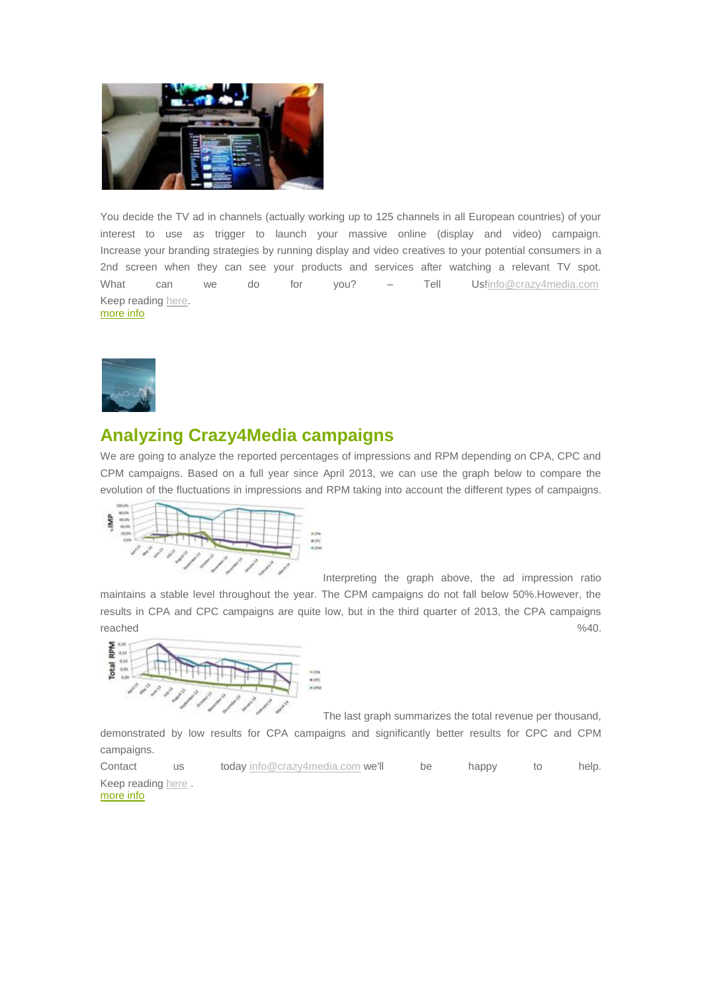

You decide the TV ad in channels (actually working up to 125 channels in all European countries) of your interest to use as trigger to launch your massive online (display and video) campaign. Increase your branding strategies by running display and video creatives to your potential consumers in a 2nd screen when they can see your products and services after watching a relevant TV spot. What can we do for you? – Tell U[s!info@crazy4media.com](mailto:info@crazy4media.com?subject=multiscreen) Keep reading [here.](http://blog.crazy4media.com/2014/05/15/synchronized-multi-screen-campaigns/) [more info](http://www.crazy4media.com/news.php)



# **Analyzing Crazy4Media campaigns**

We are going to analyze the reported percentages of impressions and RPM depending on CPA, CPC and CPM campaigns. Based on a full year since April 2013, we can use the graph below to compare the evolution of the fluctuations in impressions and RPM taking into account the different types of campaigns.



Interpreting the graph above, the ad impression ratio

maintains a stable level throughout the year. The CPM campaigns do not fall below 50%.However, the results in CPA and CPC campaigns are quite low, but in the third quarter of 2013, the CPA campaigns reached %40.



The last graph summarizes the total revenue per thousand,

demonstrated by low results for CPA campaigns and significantly better results for CPC and CPM campaigns.

Contact us today [info@crazy4media.com](mailto:info@crazy4media.com?subject=cpm) we'll be happy to help. Keep reading [here](http://blog.crazy4media.com/2014/05/28/analyzing-crazy4media-campaign-statistics/) . [more info](http://www.crazy4media.com/news.php)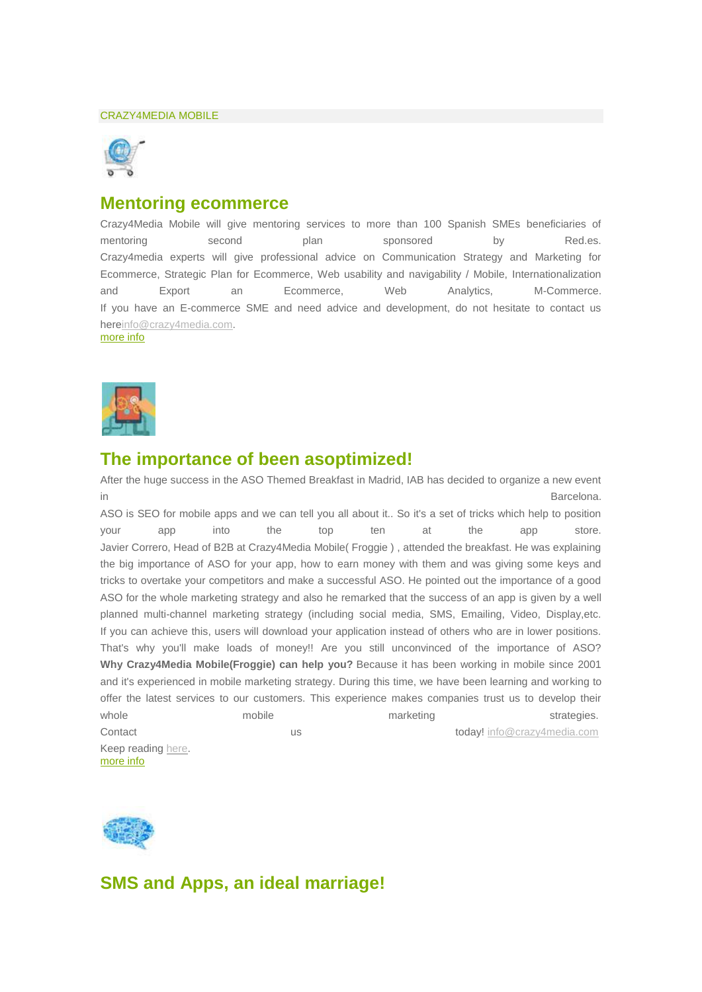#### CRAZY4MEDIA MOBILE



## **Mentoring ecommerce**

Crazy4Media Mobile will give mentoring services to more than 100 Spanish SMEs beneficiaries of mentoring second plan sponsored by Red.es. Crazy4media experts will give professional advice on Communication Strategy and Marketing for Ecommerce, Strategic Plan for Ecommerce, Web usability and navigability / Mobile, Internationalization and Export an Ecommerce, Web Analytics, M-Commerce. If you have an E-commerce SME and need advice and development, do not hesitate to contact us her[einfo@crazy4media.com.](mailto:info@crazy4media.com?subject=ecommerce)

[more info](http://www.crazy4media.com/news.php)



## **The importance of been asoptimized!**

After the huge success in the ASO Themed Breakfast in Madrid, IAB has decided to organize a new event in Barcelona. The contract of the contract of the contract of the contract of the Barcelona. ASO is SEO for mobile apps and we can tell you all about it.. So it's a set of tricks which help to position your app into the top ten at the app store. Javier Correro, Head of B2B at Crazy4Media Mobile( Froggie ) , attended the breakfast. He was explaining the big importance of ASO for your app, how to earn money with them and was giving some keys and tricks to overtake your competitors and make a successful ASO. He pointed out the importance of a good ASO for the whole marketing strategy and also he remarked that the success of an app is given by a well planned multi-channel marketing strategy (including social media, SMS, Emailing, Video, Display,etc. If you can achieve this, users will download your application instead of others who are in lower positions. That's why you'll make loads of money!! Are you still unconvinced of the importance of ASO? **Why Crazy4Media Mobile(Froggie) can help you?** Because it has been working in mobile since 2001 and it's experienced in mobile marketing strategy. During this time, we have been learning and working to offer the latest services to our customers. This experience makes companies trust us to develop their whole **mobile** mobile marketing strategies. Contact us today! [info@crazy4media.com](mailto:info@crazy4media.com?subject=aso) Keep reading [here.](http://blog.crazy4media.com/2014/05/09/app-store-optimization-the-importance-of-been-asoptimized/) [more info](http://www.crazy4media.com/news.php)



## **SMS and Apps, an ideal marriage!**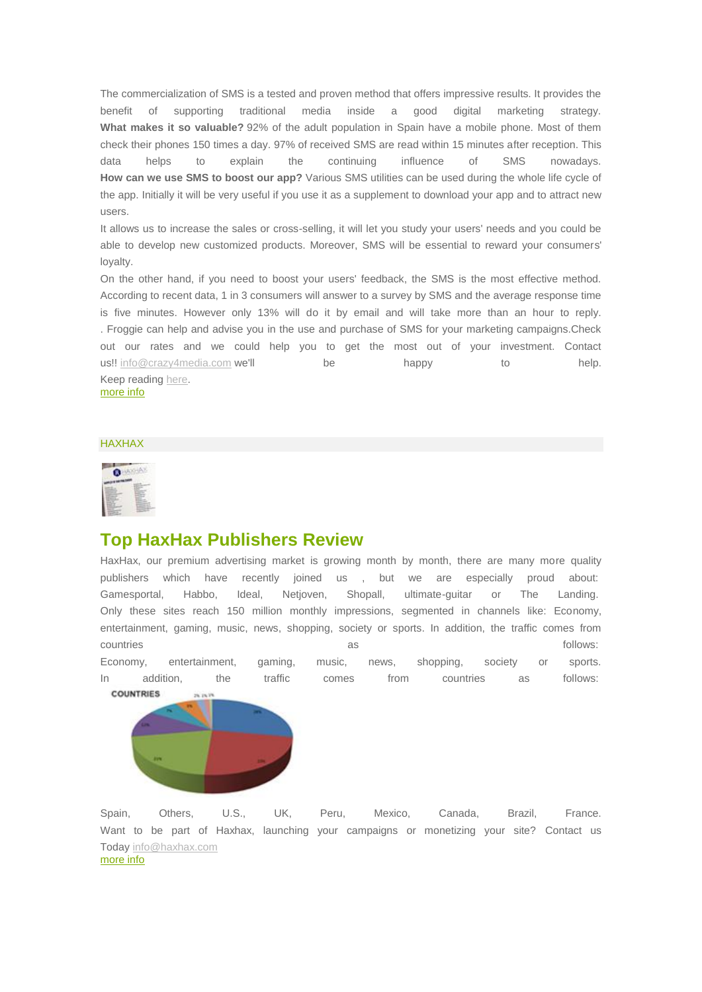The commercialization of SMS is a tested and proven method that offers impressive results. It provides the benefit of supporting traditional media inside a good digital marketing strategy. **What makes it so valuable?** 92% of the adult population in Spain have a mobile phone. Most of them check their phones 150 times a day. 97% of received SMS are read within 15 minutes after reception. This data helps to explain the continuing influence of SMS nowadays. **How can we use SMS to boost our app?** Various SMS utilities can be used during the whole life cycle of the app. Initially it will be very useful if you use it as a supplement to download your app and to attract new users.

It allows us to increase the sales or cross-selling, it will let you study your users' needs and you could be able to develop new customized products. Moreover, SMS will be essential to reward your consumers' loyalty.

On the other hand, if you need to boost your users' feedback, the SMS is the most effective method. According to recent data, 1 in 3 consumers will answer to a survey by SMS and the average response time is five minutes. However only 13% will do it by email and will take more than an hour to reply. . Froggie can help and advise you in the use and purchase of SMS for your marketing campaigns.Check out our rates and we could help you to get the most out of your investment. Contact us!! [info@crazy4media.com](mailto:info@crazy4media.com?subject=sms) we'll be happy to help. Keep reading [here.](http://blog.crazy4media.com/2014/03/27/sms-and-apps-an-ideal-marriage/) [more info](http://www.crazy4media.com/news.php)

#### HAXHAX

## **Top HaxHax Publishers Review**

HaxHax, our premium advertising market is growing month by month, there are many more quality publishers which have recently joined us , but we are especially proud about: Gamesportal, Habbo, Ideal, Netjoven, Shopall, ultimate-guitar or The Landing. Only these sites reach 150 million monthly impressions, segmented in channels like: Economy, entertainment, gaming, music, news, shopping, society or sports. In addition, the traffic comes from countries and the countries as follows: the countries are follows: the countries of the countries of the countries of the countries of the countries of the countries of the countries of the countries of the countries of th

Economy, entertainment, gaming, music, news, shopping, society or sports. In addition, the traffic comes from countries as follows:



Spain, Others, U.S., UK, Peru, Mexico, Canada, Brazil, France. Want to be part of Haxhax, launching your campaigns or monetizing your site? Contact us Today [info@haxhax.com](mailto:info@haxhax.com?subject=haxhax) [more info](http://www.crazy4media.com/news.php)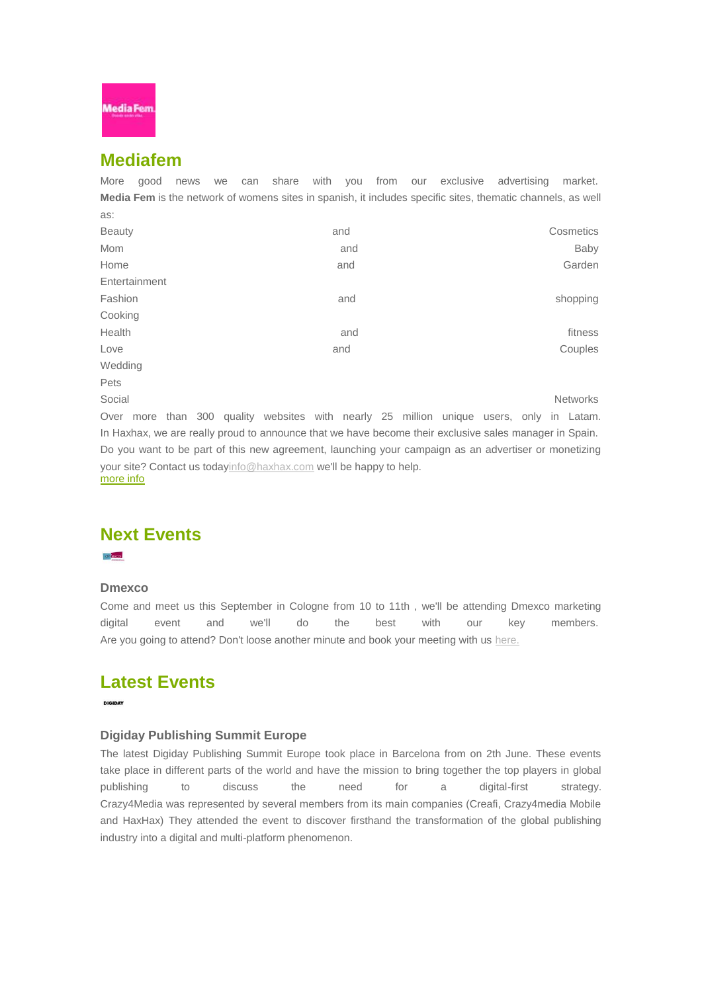

## **Mediafem**

More good news we can share with you from our exclusive advertising market. **Media Fem** is the network of womens sites in spanish, it includes specific sites, thematic channels, as well as:

| <b>Beauty</b> | and | Cosmetics |
|---------------|-----|-----------|
| Mom           | and | Baby      |
| Home          | and | Garden    |
| Entertainment |     |           |
| Fashion       | and | shopping  |
| Cooking       |     |           |
| Health        | and | fitness   |
| Love          | and | Couples   |
| Wedding       |     |           |
| Pets          |     |           |

Social **Networks Social** Networks **Networks Networks Networks Networks Networks** 

Over more than 300 quality websites with nearly 25 million unique users, only in Latam. In Haxhax, we are really proud to announce that we have become their exclusive sales manager in Spain. Do you want to be part of this new agreement, launching your campaign as an advertiser or monetizing your site? Contact us toda[yinfo@haxhax.com](mailto:info@haxhax.com?subject=haxhax) we'll be happy to help. [more info](http://www.crazy4media.com/news.php)

# **Next Events**

**DIGIDAY** 

### **Dmexco**

Come and meet us this September in Cologne from 10 to 11th , we'll be attending Dmexco marketing digital event and we'll do the best with our key members. Are you going to attend? Don't loose another minute and book your meeting with us [here.](http://www.crazy4media.com/crazymedia/events/dmexco2014.html)

# **Latest Events**

### **Digiday Publishing Summit Europe**

The latest Digiday Publishing Summit Europe took place in Barcelona from on 2th June. These events take place in different parts of the world and have the mission to bring together the top players in global publishing to discuss the need for a digital-first strategy. Crazy4Media was represented by several members from its main companies (Creafi, Crazy4media Mobile and HaxHax) They attended the event to discover firsthand the transformation of the global publishing industry into a digital and multi-platform phenomenon.